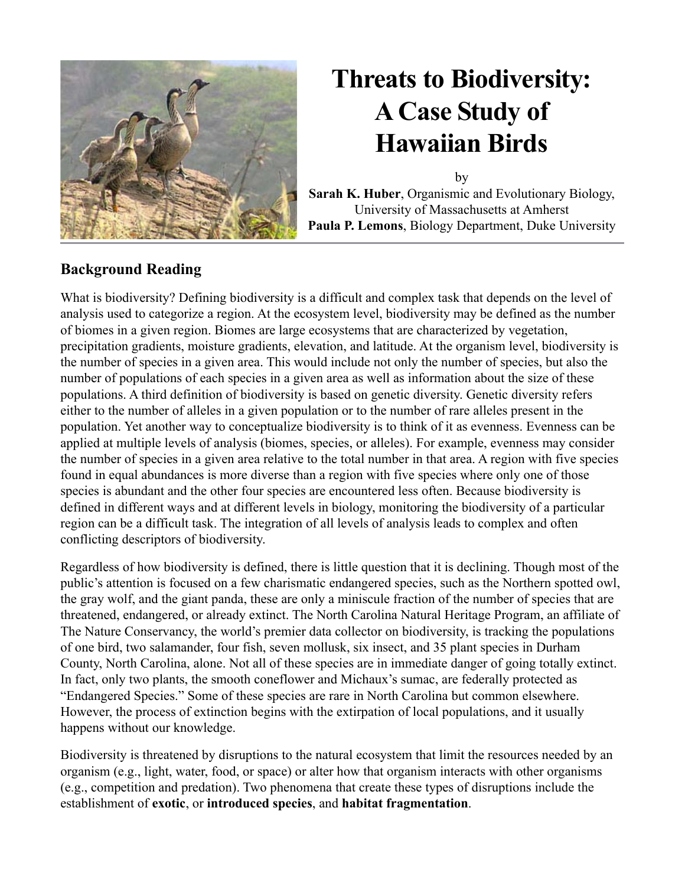

by **Sarah K. Huber**, Organismic and Evolutionary Biology, University of Massachusetts at Amherst **Paula P. Lemons**, Biology Department, Duke University

### **Background Reading**

What is biodiversity? Defining biodiversity is a difficult and complex task that depends on the level of analysis used to categorize a region. At the ecosystem level, biodiversity may be defined as the number of biomes in a given region. Biomes are large ecosystems that are characterized by vegetation, precipitation gradients, moisture gradients, elevation, and latitude. At the organism level, biodiversity is the number of species in a given area. This would include not only the number of species, but also the number of populations of each species in a given area as well as information about the size of these populations. A third definition of biodiversity is based on genetic diversity. Genetic diversity refers either to the number of alleles in a given population or to the number of rare alleles present in the population. Yet another way to conceptualize biodiversity is to think of it as evenness. Evenness can be applied at multiple levels of analysis (biomes, species, or alleles). For example, evenness may consider the number of species in a given area relative to the total number in that area. A region with five species found in equal abundances is more diverse than a region with five species where only one of those species is abundant and the other four species are encountered less often. Because biodiversity is defined in different ways and at different levels in biology, monitoring the biodiversity of a particular region can be a difficult task. The integration of all levels of analysis leads to complex and often conflicting descriptors of biodiversity.

Regardless of how biodiversity is defined, there is little question that it is declining. Though most of the public's attention is focused on a few charismatic endangered species, such as the Northern spotted owl, the gray wolf, and the giant panda, these are only a miniscule fraction of the number of species that are threatened, endangered, or already extinct. The North Carolina Natural Heritage Program, an affiliate of The Nature Conservancy, the world's premier data collector on biodiversity, is tracking the populations of one bird, two salamander, four fish, seven mollusk, six insect, and 35 plant species in Durham County, North Carolina, alone. Not all of these species are in immediate danger of going totally extinct. In fact, only two plants, the smooth coneflower and Michaux's sumac, are federally protected as "Endangered Species." Some of these species are rare in North Carolina but common elsewhere. However, the process of extinction begins with the extirpation of local populations, and it usually happens without our knowledge.

Biodiversity is threatened by disruptions to the natural ecosystem that limit the resources needed by an organism (e.g., light, water, food, or space) or alter how that organism interacts with other organisms (e.g., competition and predation). Two phenomena that create these types of disruptions include the establishment of **exotic**, or **introduced species**, and **habitat fragmentation**.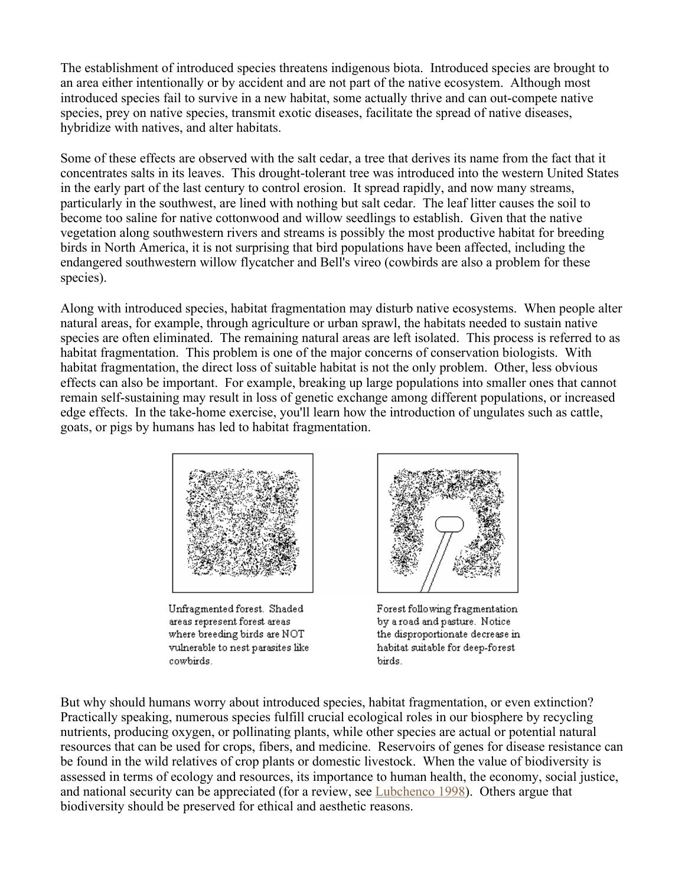The establishment of introduced species threatens indigenous biota. Introduced species are brought to an area either intentionally or by accident and are not part of the native ecosystem. Although most introduced species fail to survive in a new habitat, some actually thrive and can out-compete native species, prey on native species, transmit exotic diseases, facilitate the spread of native diseases, hybridize with natives, and alter habitats.

Some of these effects are observed with the salt cedar, a tree that derives its name from the fact that it concentrates salts in its leaves. This drought-tolerant tree was introduced into the western United States in the early part of the last century to control erosion. It spread rapidly, and now many streams, particularly in the southwest, are lined with nothing but salt cedar. The leaf litter causes the soil to become too saline for native cottonwood and willow seedlings to establish. Given that the native vegetation along southwestern rivers and streams is possibly the most productive habitat for breeding birds in North America, it is not surprising that bird populations have been affected, including the endangered southwestern willow flycatcher and Bell's vireo (cowbirds are also a problem for these species).

Along with introduced species, habitat fragmentation may disturb native ecosystems. When people alter natural areas, for example, through agriculture or urban sprawl, the habitats needed to sustain native species are often eliminated. The remaining natural areas are left isolated. This process is referred to as habitat fragmentation. This problem is one of the major concerns of conservation biologists. With habitat fragmentation, the direct loss of suitable habitat is not the only problem. Other, less obvious effects can also be important. For example, breaking up large populations into smaller ones that cannot remain self-sustaining may result in loss of genetic exchange among different populations, or increased edge effects. In the take-home exercise, you'll learn how the introduction of ungulates such as cattle, goats, or pigs by humans has led to habitat fragmentation.



Unfragmented forest. Shaded areas represent forest areas where breeding birds are NOT vulnerable to nest parasites like cowbirds.



Forest following fragmentation by a road and pasture. Notice the disproportionate decrease in habitat suitable for deep-forest birds.

But why should humans worry about introduced species, habitat fragmentation, or even extinction? Practically speaking, numerous species fulfill crucial ecological roles in our biosphere by recycling nutrients, producing oxygen, or pollinating plants, while other species are actual or potential natural resources that can be used for crops, fibers, and medicine. Reservoirs of genes for disease resistance can be found in the wild relatives of crop plants or domestic livestock. When the value of biodiversity is assessed in terms of ecology and resources, its importance to human health, the economy, social justice, and national security can be appreciated (for a review, see Lubchenco 1998). Others argue that biodiversity should be preserved for ethical and aesthetic reasons.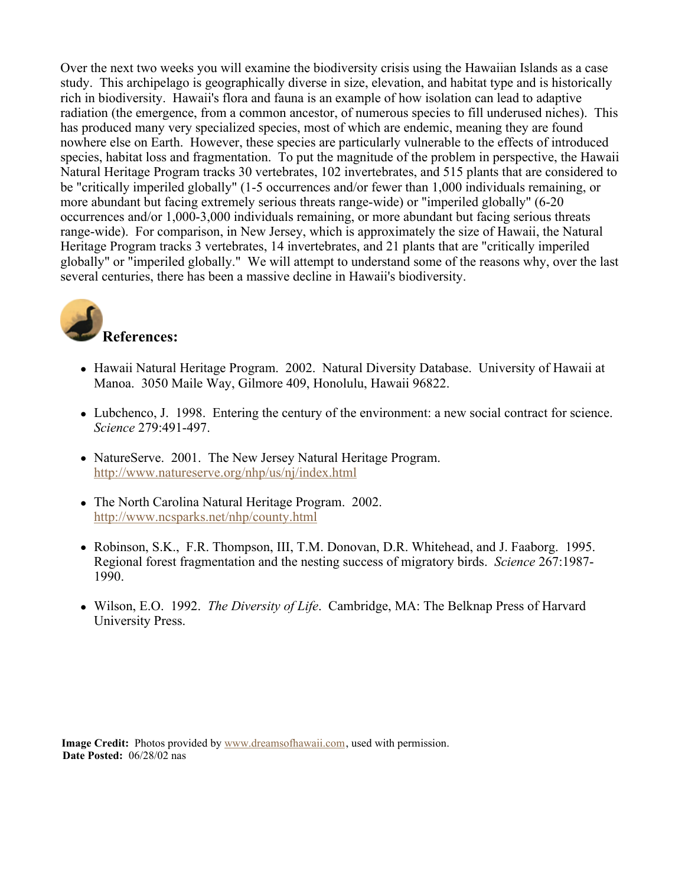Over the next two weeks you will examine the biodiversity crisis using the Hawaiian Islands as a case study. This archipelago is geographically diverse in size, elevation, and habitat type and is historically rich in biodiversity. Hawaii's flora and fauna is an example of how isolation can lead to adaptive radiation (the emergence, from a common ancestor, of numerous species to fill underused niches). This has produced many very specialized species, most of which are endemic, meaning they are found nowhere else on Earth. However, these species are particularly vulnerable to the effects of introduced species, habitat loss and fragmentation. To put the magnitude of the problem in perspective, the Hawaii Natural Heritage Program tracks 30 vertebrates, 102 invertebrates, and 515 plants that are considered to be "critically imperiled globally" (1-5 occurrences and/or fewer than 1,000 individuals remaining, or more abundant but facing extremely serious threats range-wide) or "imperiled globally" (6-20 occurrences and/or 1,000-3,000 individuals remaining, or more abundant but facing serious threats range-wide). For comparison, in New Jersey, which is approximately the size of Hawaii, the Natural Heritage Program tracks 3 vertebrates, 14 invertebrates, and 21 plants that are "critically imperiled globally" or "imperiled globally." We will attempt to understand some of the reasons why, over the last several centuries, there has been a massive decline in Hawaii's biodiversity.



- Hawaii Natural Heritage Program. 2002. Natural Diversity Database. University of Hawaii at Manoa. 3050 Maile Way, Gilmore 409, Honolulu, Hawaii 96822.
- Lubchenco, J. 1998. Entering the century of the environment: a new social contract for science. *Science* 279:491-497.
- NatureServe. 2001. The New Jersey Natural Heritage Program. <http://www.natureserve.org/nhp/us/nj/index.html>
- The North Carolina Natural Heritage Program. 2002. <http://www.ncsparks.net/nhp/county.html>
- Robinson, S.K., F.R. Thompson, III, T.M. Donovan, D.R. Whitehead, and J. Faaborg. 1995. Regional forest fragmentation and the nesting success of migratory birds. *Science* 267:1987- 1990.
- Wilson, E.O. 1992. *The Diversity of Life*. Cambridge, MA: The Belknap Press of Harvard University Press.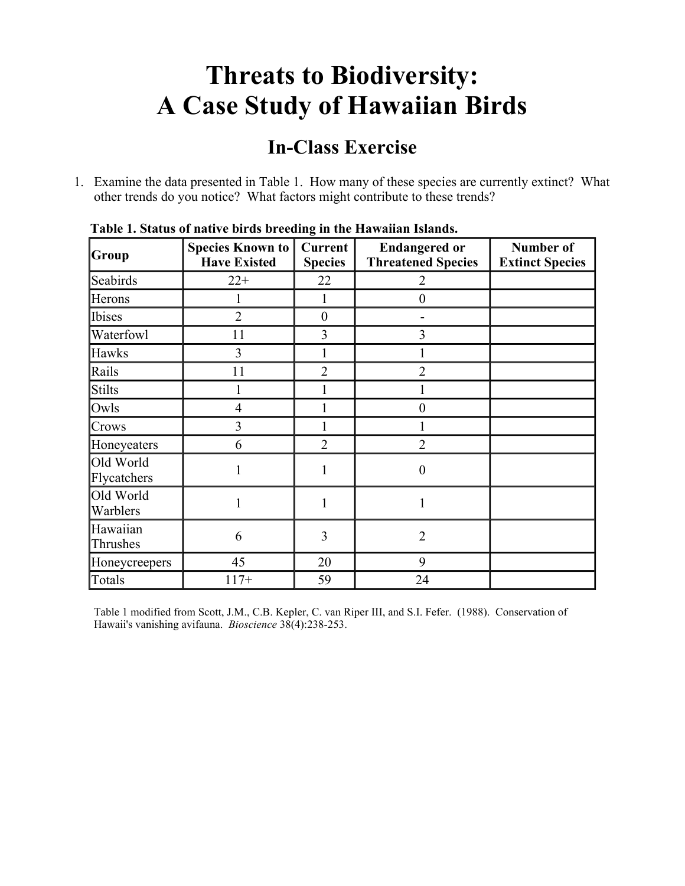### **In-Class Exercise**

1. Examine the data presented in Table 1. How many of these species are currently extinct? What other trends do you notice? What factors might contribute to these trends?

| Group                    | <b>Species Known to</b><br><b>Have Existed</b> | Current<br><b>Species</b> | <b>Endangered or</b><br><b>Threatened Species</b> | Number of<br><b>Extinct Species</b> |
|--------------------------|------------------------------------------------|---------------------------|---------------------------------------------------|-------------------------------------|
| Seabirds                 | $22+$                                          | 22                        | 2                                                 |                                     |
| Herons                   |                                                | 1                         | $\boldsymbol{0}$                                  |                                     |
| Ibises                   | $\overline{2}$                                 | $\boldsymbol{0}$          |                                                   |                                     |
| Waterfowl                | 11                                             | 3                         | 3                                                 |                                     |
| Hawks                    | 3                                              |                           |                                                   |                                     |
| Rails                    | 11                                             | $\overline{2}$            | $\overline{2}$                                    |                                     |
| <b>Stilts</b>            |                                                |                           |                                                   |                                     |
| Owls                     | $\overline{4}$                                 |                           | $\theta$                                          |                                     |
| Crows                    | 3                                              |                           |                                                   |                                     |
| Honeyeaters              | 6                                              | $\overline{2}$            | $\overline{2}$                                    |                                     |
| Old World<br>Flycatchers |                                                |                           | $\overline{0}$                                    |                                     |
| Old World<br>Warblers    | 1                                              | 1                         |                                                   |                                     |
| Hawaiian<br>Thrushes     | 6                                              | 3                         | $\overline{2}$                                    |                                     |
| Honeycreepers            | 45                                             | 20                        | 9                                                 |                                     |
| Totals                   | $117+$                                         | 59                        | 24                                                |                                     |

**Table 1. Status of native birds breeding in the Hawaiian Islands.**

Table 1 modified from Scott, J.M., C.B. Kepler, C. van Riper III, and S.I. Fefer. (1988). Conservation of Hawaii's vanishing avifauna. *Bioscience* 38(4):238-253.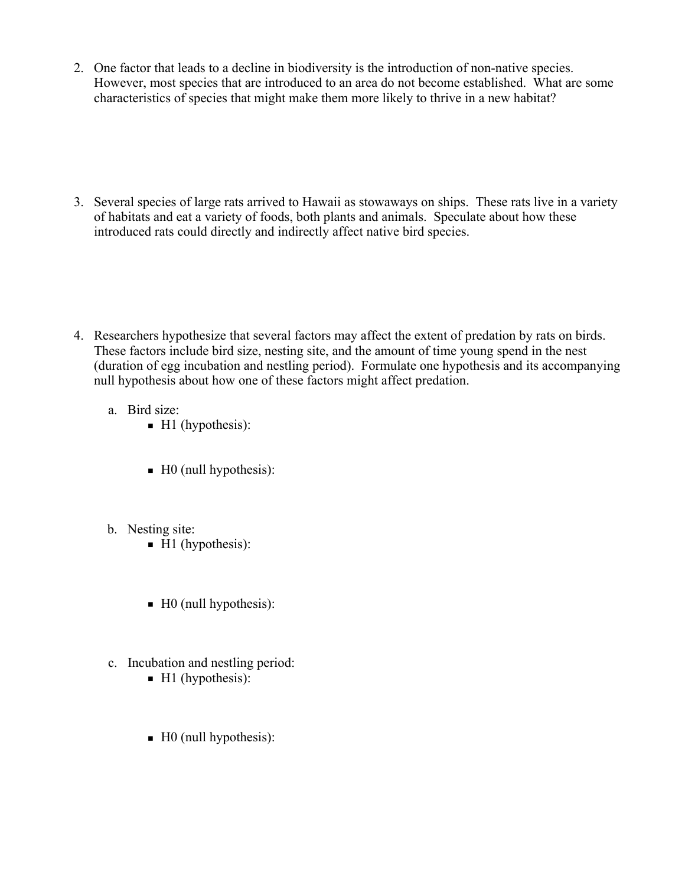- 2. One factor that leads to a decline in biodiversity is the introduction of non-native species. However, most species that are introduced to an area do not become established. What are some characteristics of species that might make them more likely to thrive in a new habitat?
- 3. Several species of large rats arrived to Hawaii as stowaways on ships. These rats live in a variety of habitats and eat a variety of foods, both plants and animals. Speculate about how these introduced rats could directly and indirectly affect native bird species.

- 4. Researchers hypothesize that several factors may affect the extent of predation by rats on birds. These factors include bird size, nesting site, and the amount of time young spend in the nest (duration of egg incubation and nestling period). Formulate one hypothesis and its accompanying null hypothesis about how one of these factors might affect predation.
	- a. Bird size:
		- $\blacksquare$  H1 (hypothesis):
		- $\blacksquare$  H0 (null hypothesis):
	- b. Nesting site:
		- $\blacksquare$  H1 (hypothesis):
		- $\blacksquare$  H0 (null hypothesis):
	- c. Incubation and nestling period:
		- $\blacksquare$  H1 (hypothesis):
		- $\blacksquare$  H0 (null hypothesis):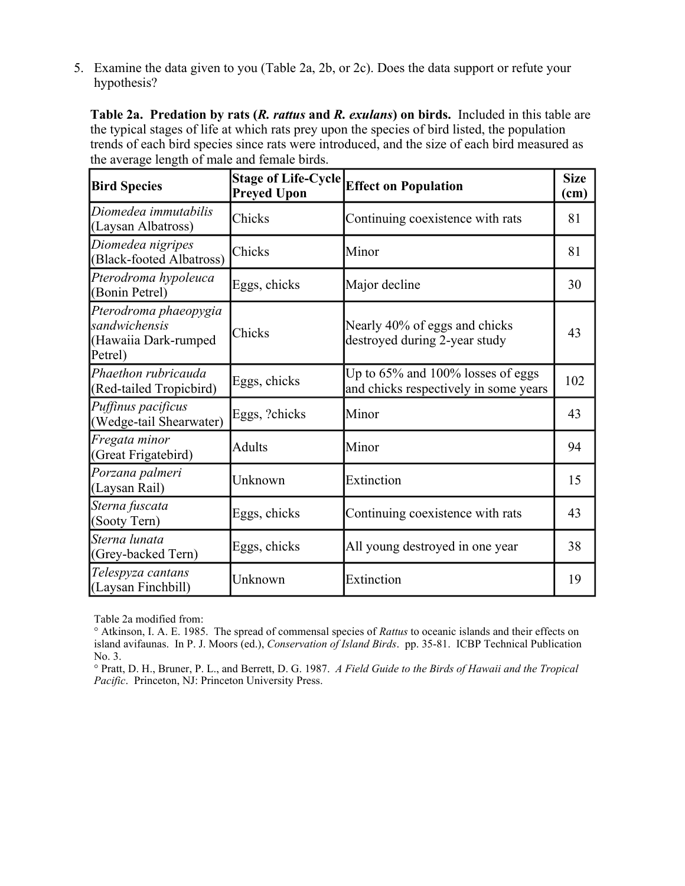5. Examine the data given to you (Table 2a, 2b, or 2c). Does the data support or refute your hypothesis?

**Table 2a. Predation by rats (***R. rattus* **and** *R. exulans***) on birds.** Included in this table are the typical stages of life at which rats prey upon the species of bird listed, the population trends of each bird species since rats were introduced, and the size of each bird measured as the average length of male and female birds.

| <b>Bird Species</b>                                                       | <b>Stage of Life-Cycle</b><br><b>Preyed Upon</b> | <b>Effect on Population</b>                                                | <b>Size</b><br>(cm) |
|---------------------------------------------------------------------------|--------------------------------------------------|----------------------------------------------------------------------------|---------------------|
| Diomedea immutabilis<br>(Laysan Albatross)                                | Chicks                                           | Continuing coexistence with rats                                           | 81                  |
| Diomedea nigripes<br>(Black-footed Albatross)                             | Chicks                                           | Minor                                                                      | 81                  |
| Pterodroma hypoleuca<br>(Bonin Petrel)                                    | Eggs, chicks                                     | Major decline                                                              | 30                  |
| Pterodroma phaeopygia<br>sandwichensis<br>(Hawaiia Dark-rumped<br>Petrel) | Chicks                                           | Nearly 40% of eggs and chicks<br>destroyed during 2-year study             | 43                  |
| Phaethon rubricauda<br>(Red-tailed Tropicbird)                            | Eggs, chicks                                     | Up to 65% and 100% losses of eggs<br>and chicks respectively in some years | 102                 |
| Puffinus pacificus<br>(Wedge-tail Shearwater)                             | Eggs, ?chicks                                    | Minor                                                                      | 43                  |
| Fregata minor<br>(Great Frigatebird)                                      | <b>Adults</b>                                    | Minor                                                                      | 94                  |
| Porzana palmeri<br>(Laysan Rail)                                          | Unknown                                          | Extinction                                                                 | 15                  |
| Sterna fuscata<br>(Sooty Tern)                                            | Eggs, chicks                                     | Continuing coexistence with rats                                           | 43                  |
| Sterna lunata<br>(Grey-backed Tern)                                       | Eggs, chicks                                     | All young destroyed in one year                                            | 38                  |
| Telespyza cantans<br>(Laysan Finchbill)                                   | Unknown                                          | Extinction                                                                 | 19                  |

Table 2a modified from:

° Atkinson, I. A. E. 1985. The spread of commensal species of *Rattus* to oceanic islands and their effects on island avifaunas. In P. J. Moors (ed.), *Conservation of Island Birds*. pp. 35-81. ICBP Technical Publication No. 3.

° Pratt, D. H., Bruner, P. L., and Berrett, D. G. 1987. *A Field Guide to the Birds of Hawaii and the Tropical Pacific*. Princeton, NJ: Princeton University Press.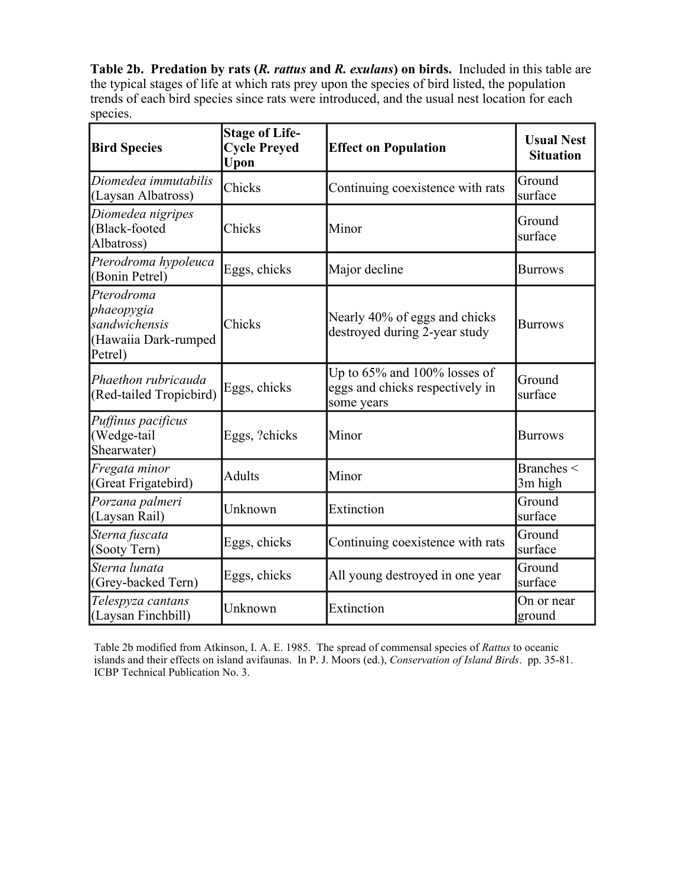**Table 2b. Predation by rats (***R. rattus* **and** *R. exulans***) on birds.** Included in this table are the typical stages of life at which rats prey upon the species of bird listed, the population trends of each bird species since rats were introduced, and the usual nest location for each species.

| <b>Bird Species</b>                                                          | <b>Stage of Life-</b><br><b>Cycle Preyed</b><br>Upon | <b>Effect on Population</b>                                                         | <b>Usual Nest</b><br><b>Situation</b> |
|------------------------------------------------------------------------------|------------------------------------------------------|-------------------------------------------------------------------------------------|---------------------------------------|
| Diomedea immutabilis<br>(Laysan Albatross)                                   | Chicks                                               | Continuing coexistence with rats                                                    | Ground<br>surface                     |
| Diomedea nigripes<br>(Black-footed<br>Albatross)                             | Chicks                                               | Minor                                                                               | Ground<br>surface                     |
| Pterodroma hypoleuca<br>(Bonin Petrel)                                       | Eggs, chicks                                         | Major decline                                                                       | <b>Burrows</b>                        |
| Pterodroma<br>phaeopygia<br>sandwichensis<br>(Hawaiia Dark-rumped<br>Petrel) | Chicks                                               | Nearly 40% of eggs and chicks<br>destroyed during 2-year study                      | <b>Burrows</b>                        |
| Phaethon rubricauda<br>(Red-tailed Tropicbird)                               | Eggs, chicks                                         | Up to $65\%$ and $100\%$ losses of<br>eggs and chicks respectively in<br>some years | Ground<br>surface                     |
| Puffinus pacificus<br>(Wedge-tail<br>Shearwater)                             | Eggs, ?chicks                                        | Minor                                                                               | <b>Burrows</b>                        |
| Fregata minor<br>(Great Frigatebird)                                         | <b>Adults</b>                                        | Minor                                                                               | Branches <<br>3m high                 |
| Porzana palmeri<br>(Laysan Rail)                                             | Unknown                                              | Extinction                                                                          | Ground<br>surface                     |
| Sterna fuscata<br>(Sooty Tern)                                               | Eggs, chicks                                         | Continuing coexistence with rats                                                    | Ground<br>surface                     |
| Sterna lunata<br>(Grey-backed Tern)                                          | Eggs, chicks                                         | All young destroyed in one year                                                     | Ground<br>surface                     |
| Telespyza cantans<br>(Laysan Finchbill)                                      | Unknown                                              | Extinction                                                                          | On or near<br>ground                  |

Table 2b modified from Atkinson, I. A. E. 1985. The spread of commensal species of *Rattus* to oceanic islands and their effects on island avifaunas. In P. J. Moors (ed.), *Conservation of Island Birds*. pp. 35-81. ICBP Technical Publication No. 3.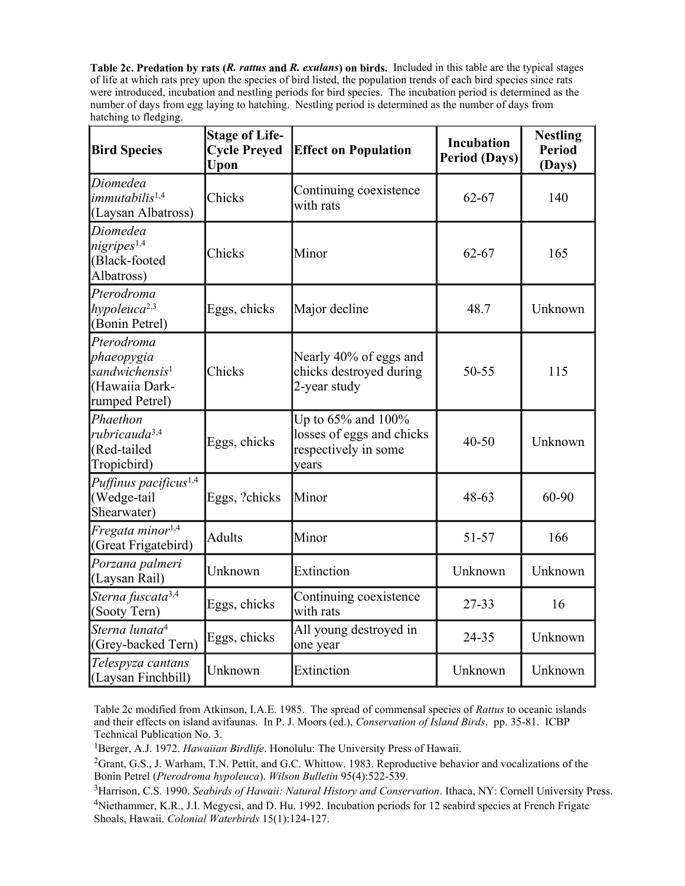**Table 2c. Predation by rats (***R. rattus* **and** *R. exulans***) on birds.** Included in this table are the typical stages of life at which rats prey upon the species of bird listed, the population trends of each bird species since rats were introduced, incubation and nestling periods for bird species. The incubation period is determined as the number of days from egg laying to hatching. Nestling period is determined as the number of days from hatching to fledging.

| <b>Bird Species</b>                                                                        | <b>Stage of Life-</b><br><b>Cycle Preyed</b><br>Upon | <b>Effect on Population</b>                                                            | <b>Incubation</b><br><b>Period (Days)</b> | <b>Nestling</b><br><b>Period</b><br>(Days) |
|--------------------------------------------------------------------------------------------|------------------------------------------------------|----------------------------------------------------------------------------------------|-------------------------------------------|--------------------------------------------|
| Diomedea<br>immutabilis <sup>1,4</sup><br>(Laysan Albatross)                               | Chicks                                               | Continuing coexistence<br>with rats                                                    | $62 - 67$                                 | 140                                        |
| Diomedea<br>nigripes <sup>1,4</sup><br>(Black-footed<br>Albatross)                         | Chicks                                               | Minor                                                                                  | $62 - 67$                                 | 165                                        |
| Pterodroma<br>hypoleuca <sup>2,3</sup><br>(Bonin Petrel)                                   | Eggs, chicks                                         | Major decline                                                                          | 48.7                                      | Unknown                                    |
| Pterodroma<br>phaeopygia<br>sandwichensis <sup>1</sup><br>(Hawaiia Dark-<br>rumped Petrel) | Chicks                                               | Nearly 40% of eggs and<br>chicks destroyed during<br>2-year study                      | 50-55                                     | 115                                        |
| Phaethon<br>rubricauda <sup>3,4</sup><br>(Red-tailed<br>Tropicbird)                        | Eggs, chicks                                         | Up to $65\%$ and $100\%$<br>losses of eggs and chicks<br>respectively in some<br>years | $40 - 50$                                 | Unknown                                    |
| Puffinus pacificus <sup>1,4</sup><br>(Wedge-tail<br>Shearwater)                            | Eggs, ?chicks                                        | Minor                                                                                  | $48 - 63$                                 | 60-90                                      |
| Fregata minor <sup>1,4</sup><br>(Great Frigatebird)                                        | <b>Adults</b>                                        | Minor                                                                                  | $51 - 57$                                 | 166                                        |
| Porzana palmeri<br>(Laysan Rail)                                                           | Unknown                                              | Extinction                                                                             | Unknown                                   | Unknown                                    |
| Sterna fuscata <sup>3,4</sup><br>(Sooty Tern)                                              | Eggs, chicks                                         | Continuing coexistence<br>with rats                                                    | $27 - 33$                                 | 16                                         |
| Sterna lunata <sup>4</sup><br>(Grey-backed Tern)                                           | Eggs, chicks                                         | All young destroyed in<br>one year                                                     | 24-35                                     | Unknown                                    |
| Telespyza cantans<br>(Laysan Finchbill)                                                    | Unknown                                              | Extinction                                                                             | Unknown                                   | Unknown                                    |

Table 2c modified from Atkinson, I.A.E. 1985. The spread of commensal species of *Rattus* to oceanic islands and their effects on island avifaunas. In P. J. Moors (ed.), *Conservation of Island Birds*. pp. 35-81. ICBP Technical Publication No. 3.

<sup>1</sup>Berger, A.J. 1972. *Hawaiian Birdlife*. Honolulu: The University Press of Hawaii.

<sup>2</sup>Grant, G.S., J. Warham, T.N. Pettit, and G.C. Whittow. 1983. Reproductive behavior and vocalizations of the Bonin Petrel (*Pterodroma hypoleuca*). *Wilson Bulletin* 95(4):522-539.

3Harrison, C.S. 1990. *Seabirds of Hawaii: Natural History and Conservation*. Ithaca, NY: Cornell University Press. 4Niethammer, K.R., J.I. Megyesi, and D. Hu. 1992. Incubation periods for 12 seabird species at French Frigate Shoals, Hawaii. *Colonial Waterbirds* 15(1):124-127.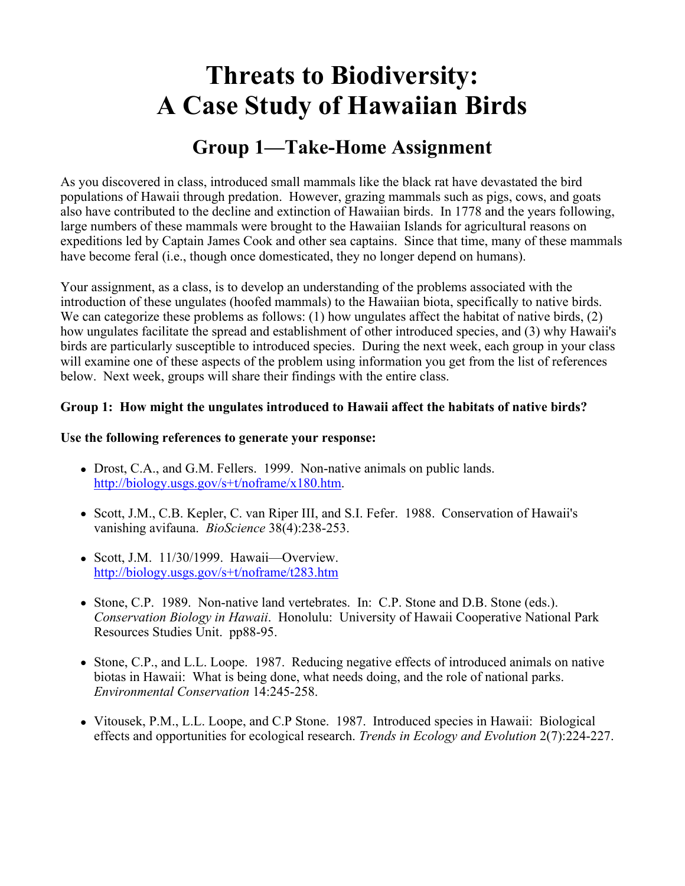### **Group 1—Take-Home Assignment**

As you discovered in class, introduced small mammals like the black rat have devastated the bird populations of Hawaii through predation. However, grazing mammals such as pigs, cows, and goats also have contributed to the decline and extinction of Hawaiian birds. In 1778 and the years following, large numbers of these mammals were brought to the Hawaiian Islands for agricultural reasons on expeditions led by Captain James Cook and other sea captains. Since that time, many of these mammals have become feral (i.e., though once domesticated, they no longer depend on humans).

Your assignment, as a class, is to develop an understanding of the problems associated with the introduction of these ungulates (hoofed mammals) to the Hawaiian biota, specifically to native birds. We can categorize these problems as follows: (1) how ungulates affect the habitat of native birds, (2) how ungulates facilitate the spread and establishment of other introduced species, and (3) why Hawaii's birds are particularly susceptible to introduced species. During the next week, each group in your class will examine one of these aspects of the problem using information you get from the list of references below. Next week, groups will share their findings with the entire class.

#### **Group 1: How might the ungulates introduced to Hawaii affect the habitats of native birds?**

#### **Use the following references to generate your response:**

- Drost, C.A., and G.M. Fellers. 1999. Non-native animals on public lands. [http://biology.usgs.gov/s+t/noframe/x180.htm.](http://biology.usgs.gov/s+t/noframe/x180.htm)
- Scott, J.M., C.B. Kepler, C. van Riper III, and S.I. Fefer. 1988. Conservation of Hawaii's vanishing avifauna. *BioScience* 38(4):238-253.
- $\bullet$  Scott, J.M. 11/30/1999. Hawaii—Overview. <http://biology.usgs.gov/s+t/noframe/t283.htm>
- Stone, C.P. 1989. Non-native land vertebrates. In: C.P. Stone and D.B. Stone (eds.). *Conservation Biology in Hawaii*. Honolulu: University of Hawaii Cooperative National Park Resources Studies Unit. pp88-95.
- Stone, C.P., and L.L. Loope. 1987. Reducing negative effects of introduced animals on native biotas in Hawaii: What is being done, what needs doing, and the role of national parks. *Environmental Conservation* 14:245-258.
- Vitousek, P.M., L.L. Loope, and C.P Stone. 1987. Introduced species in Hawaii: Biological effects and opportunities for ecological research. *Trends in Ecology and Evolution* 2(7):224-227.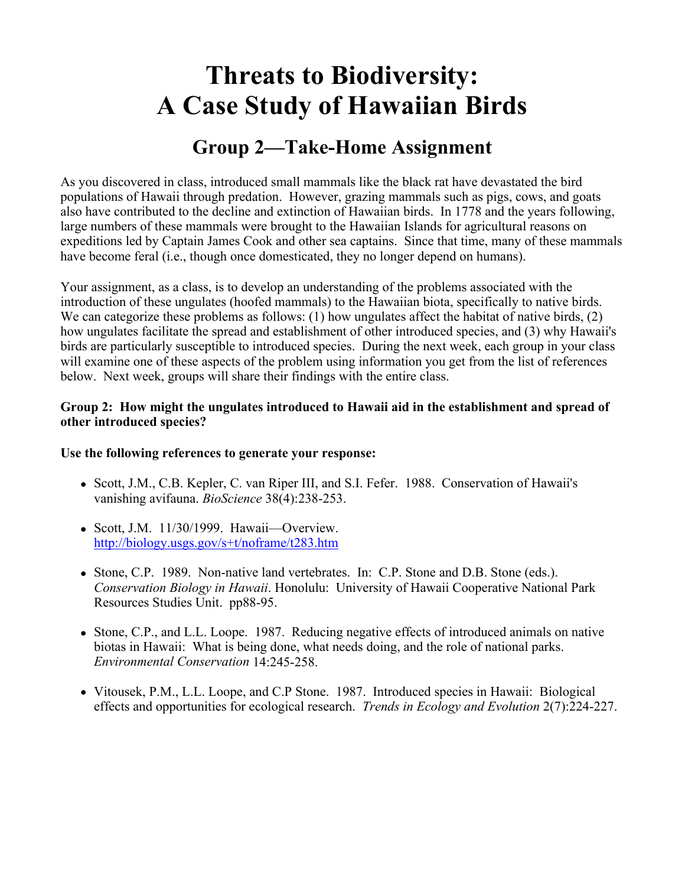### **Group 2—Take-Home Assignment**

As you discovered in class, introduced small mammals like the black rat have devastated the bird populations of Hawaii through predation. However, grazing mammals such as pigs, cows, and goats also have contributed to the decline and extinction of Hawaiian birds. In 1778 and the years following, large numbers of these mammals were brought to the Hawaiian Islands for agricultural reasons on expeditions led by Captain James Cook and other sea captains. Since that time, many of these mammals have become feral (i.e., though once domesticated, they no longer depend on humans).

Your assignment, as a class, is to develop an understanding of the problems associated with the introduction of these ungulates (hoofed mammals) to the Hawaiian biota, specifically to native birds. We can categorize these problems as follows: (1) how ungulates affect the habitat of native birds, (2) how ungulates facilitate the spread and establishment of other introduced species, and (3) why Hawaii's birds are particularly susceptible to introduced species. During the next week, each group in your class will examine one of these aspects of the problem using information you get from the list of references below. Next week, groups will share their findings with the entire class.

### **Group 2: How might the ungulates introduced to Hawaii aid in the establishment and spread of other introduced species?**

#### **Use the following references to generate your response:**

- Scott, J.M., C.B. Kepler, C. van Riper III, and S.I. Fefer. 1988. Conservation of Hawaii's vanishing avifauna. *BioScience* 38(4):238-253.
- $\bullet$  Scott, J.M. 11/30/1999. Hawaii—Overview. <http://biology.usgs.gov/s+t/noframe/t283.htm>
- Stone, C.P. 1989. Non-native land vertebrates. In: C.P. Stone and D.B. Stone (eds.). *Conservation Biology in Hawaii*. Honolulu: University of Hawaii Cooperative National Park Resources Studies Unit. pp88-95.
- Stone, C.P., and L.L. Loope. 1987. Reducing negative effects of introduced animals on native biotas in Hawaii: What is being done, what needs doing, and the role of national parks. *Environmental Conservation* 14:245-258.
- Vitousek, P.M., L.L. Loope, and C.P Stone. 1987. Introduced species in Hawaii: Biological effects and opportunities for ecological research. *Trends in Ecology and Evolution* 2(7):224-227.